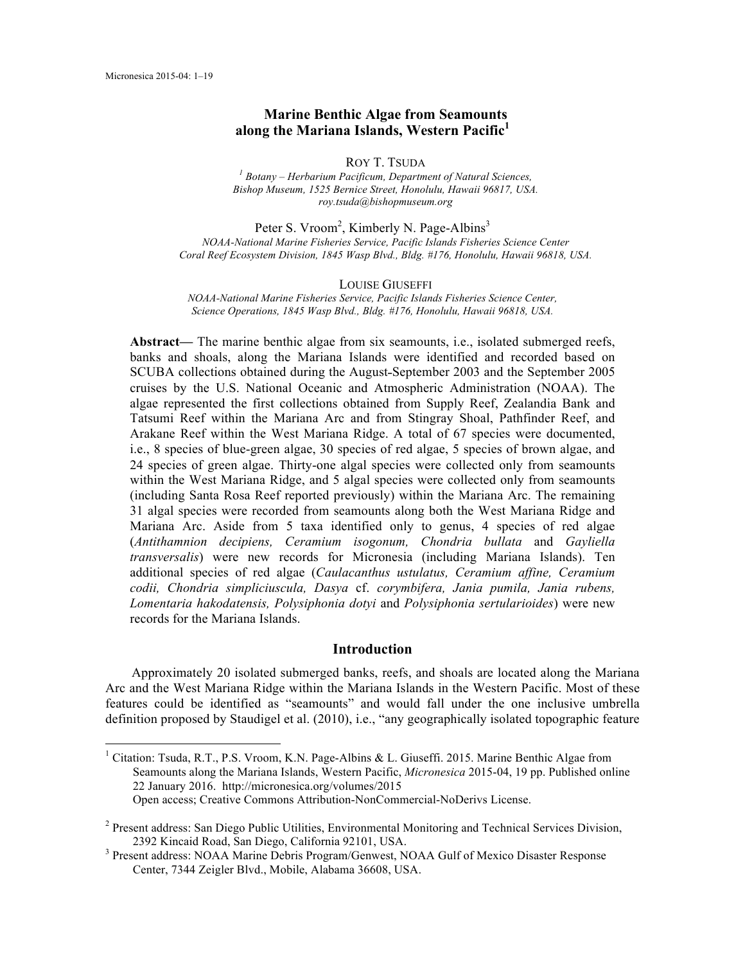# **Marine Benthic Algae from Seamounts along the Mariana Islands, Western Pacific<sup>1</sup>**

ROY T. TSUDA *<sup>1</sup> Botany ‒ Herbarium Pacificum, Department of Natural Sciences, Bishop Museum, 1525 Bernice Street, Honolulu, Hawaii 96817, USA. roy.tsuda@bishopmuseum.org*

Peter S. Vroom<sup>2</sup>, Kimberly N. Page-Albins<sup>3</sup> *NOAA-National Marine Fisheries Service, Pacific Islands Fisheries Science Center Coral Reef Ecosystem Division, 1845 Wasp Blvd., Bldg. #176, Honolulu, Hawaii 96818, USA.*

#### LOUISE GIUSEFFI

*NOAA-National Marine Fisheries Service, Pacific Islands Fisheries Science Center, Science Operations, 1845 Wasp Blvd., Bldg. #176, Honolulu, Hawaii 96818, USA.*

**Abstract—** The marine benthic algae from six seamounts, i.e., isolated submerged reefs, banks and shoals, along the Mariana Islands were identified and recorded based on SCUBA collections obtained during the August-September 2003 and the September 2005 cruises by the U.S. National Oceanic and Atmospheric Administration (NOAA). The algae represented the first collections obtained from Supply Reef, Zealandia Bank and Tatsumi Reef within the Mariana Arc and from Stingray Shoal, Pathfinder Reef, and Arakane Reef within the West Mariana Ridge. A total of 67 species were documented, i.e., 8 species of blue-green algae, 30 species of red algae, 5 species of brown algae, and 24 species of green algae. Thirty-one algal species were collected only from seamounts within the West Mariana Ridge, and 5 algal species were collected only from seamounts (including Santa Rosa Reef reported previously) within the Mariana Arc. The remaining 31 algal species were recorded from seamounts along both the West Mariana Ridge and Mariana Arc. Aside from 5 taxa identified only to genus, 4 species of red algae (*Antithamnion decipiens, Ceramium isogonum, Chondria bullata* and *Gayliella transversalis*) were new records for Micronesia (including Mariana Islands). Ten additional species of red algae (*Caulacanthus ustulatus, Ceramium affine, Ceramium codii, Chondria simpliciuscula, Dasya* cf. *corymbifera, Jania pumila, Jania rubens, Lomentaria hakodatensis, Polysiphonia dotyi* and *Polysiphonia sertularioides*) were new records for the Mariana Islands.

# **Introduction**

Approximately 20 isolated submerged banks, reefs, and shoals are located along the Mariana Arc and the West Mariana Ridge within the Mariana Islands in the Western Pacific. Most of these features could be identified as "seamounts" and would fall under the one inclusive umbrella definition proposed by Staudigel et al. (2010), i.e., "any geographically isolated topographic feature

<sup>&</sup>lt;sup>1</sup> Citation: Tsuda, R.T., P.S. Vroom, K.N. Page-Albins & L. Giuseffi. 2015. Marine Benthic Algae from Seamounts along the Mariana Islands, Western Pacific, *Micronesica* 2015-04, 19 pp. Published online 22 January 2016. http://micronesica.org/volumes/2015 Open access; Creative Commons Attribution-NonCommercial-NoDerivs License.

<sup>2</sup> Present address: San Diego Public Utilities, Environmental Monitoring and Technical Services Division, 2392 Kincaid Road, San Diego, California 92101, USA.<br><sup>3</sup> Present address: NOAA Marine Debris Program/Genwest, NOAA Gulf of Mexico Disaster Response

Center, 7344 Zeigler Blvd., Mobile, Alabama 36608, USA.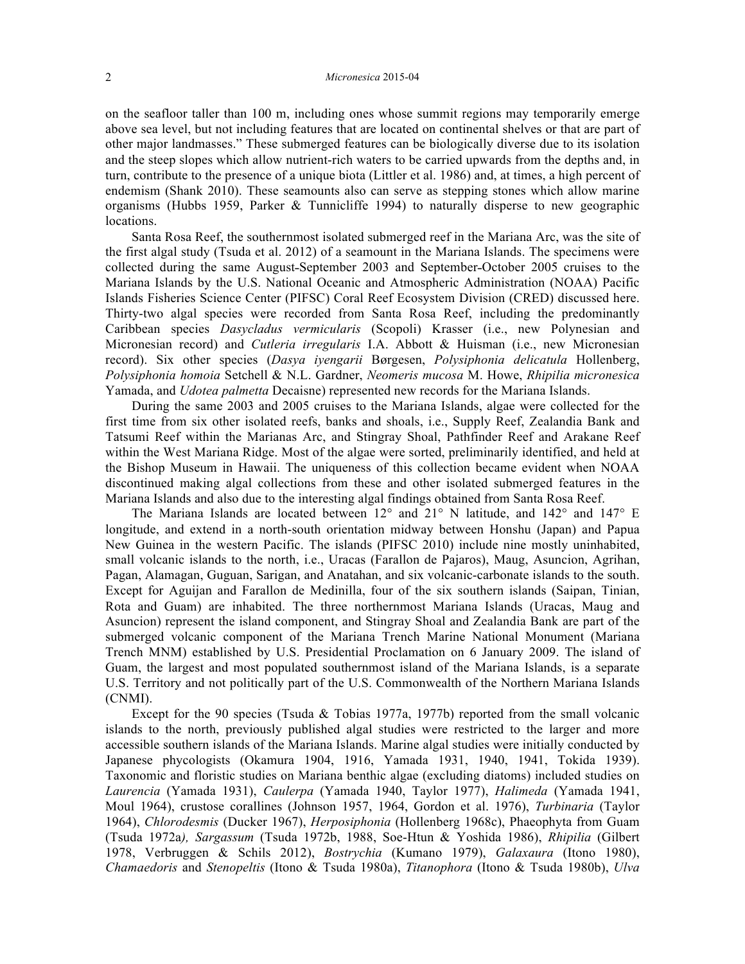on the seafloor taller than 100 m, including ones whose summit regions may temporarily emerge above sea level, but not including features that are located on continental shelves or that are part of other major landmasses." These submerged features can be biologically diverse due to its isolation and the steep slopes which allow nutrient-rich waters to be carried upwards from the depths and, in turn, contribute to the presence of a unique biota (Littler et al. 1986) and, at times, a high percent of endemism (Shank 2010). These seamounts also can serve as stepping stones which allow marine organisms (Hubbs 1959, Parker & Tunnicliffe 1994) to naturally disperse to new geographic locations.

Santa Rosa Reef, the southernmost isolated submerged reef in the Mariana Arc, was the site of the first algal study (Tsuda et al. 2012) of a seamount in the Mariana Islands. The specimens were collected during the same August-September 2003 and September-October 2005 cruises to the Mariana Islands by the U.S. National Oceanic and Atmospheric Administration (NOAA) Pacific Islands Fisheries Science Center (PIFSC) Coral Reef Ecosystem Division (CRED) discussed here. Thirty-two algal species were recorded from Santa Rosa Reef, including the predominantly Caribbean species *Dasycladus vermicularis* (Scopoli) Krasser (i.e., new Polynesian and Micronesian record) and *Cutleria irregularis* I.A. Abbott & Huisman (i.e., new Micronesian record). Six other species (*Dasya iyengarii* Børgesen, *Polysiphonia delicatula* Hollenberg, *Polysiphonia homoia* Setchell & N.L. Gardner, *Neomeris mucosa* M. Howe, *Rhipilia micronesica*  Yamada, and *Udotea palmetta* Decaisne) represented new records for the Mariana Islands.

During the same 2003 and 2005 cruises to the Mariana Islands, algae were collected for the first time from six other isolated reefs, banks and shoals, i.e., Supply Reef, Zealandia Bank and Tatsumi Reef within the Marianas Arc, and Stingray Shoal, Pathfinder Reef and Arakane Reef within the West Mariana Ridge. Most of the algae were sorted, preliminarily identified, and held at the Bishop Museum in Hawaii. The uniqueness of this collection became evident when NOAA discontinued making algal collections from these and other isolated submerged features in the Mariana Islands and also due to the interesting algal findings obtained from Santa Rosa Reef.

The Mariana Islands are located between 12° and 21° N latitude, and 142° and 147° E longitude, and extend in a north-south orientation midway between Honshu (Japan) and Papua New Guinea in the western Pacific. The islands (PIFSC 2010) include nine mostly uninhabited, small volcanic islands to the north, i.e., Uracas (Farallon de Pajaros), Maug, Asuncion, Agrihan, Pagan, Alamagan, Guguan, Sarigan, and Anatahan, and six volcanic-carbonate islands to the south. Except for Aguijan and Farallon de Medinilla, four of the six southern islands (Saipan, Tinian, Rota and Guam) are inhabited. The three northernmost Mariana Islands (Uracas, Maug and Asuncion) represent the island component, and Stingray Shoal and Zealandia Bank are part of the submerged volcanic component of the Mariana Trench Marine National Monument (Mariana Trench MNM) established by U.S. Presidential Proclamation on 6 January 2009. The island of Guam, the largest and most populated southernmost island of the Mariana Islands, is a separate U.S. Territory and not politically part of the U.S. Commonwealth of the Northern Mariana Islands (CNMI).

Except for the 90 species (Tsuda & Tobias 1977a, 1977b) reported from the small volcanic islands to the north, previously published algal studies were restricted to the larger and more accessible southern islands of the Mariana Islands. Marine algal studies were initially conducted by Japanese phycologists (Okamura 1904, 1916, Yamada 1931, 1940, 1941, Tokida 1939). Taxonomic and floristic studies on Mariana benthic algae (excluding diatoms) included studies on *Laurencia* (Yamada 1931), *Caulerpa* (Yamada 1940, Taylor 1977), *Halimeda* (Yamada 1941, Moul 1964), crustose corallines (Johnson 1957, 1964, Gordon et al. 1976), *Turbinaria* (Taylor 1964), *Chlorodesmis* (Ducker 1967), *Herposiphonia* (Hollenberg 1968c), Phaeophyta from Guam (Tsuda 1972a*), Sargassum* (Tsuda 1972b, 1988, Soe-Htun & Yoshida 1986), *Rhipilia* (Gilbert 1978, Verbruggen & Schils 2012), *Bostrychia* (Kumano 1979), *Galaxaura* (Itono 1980), *Chamaedoris* and *Stenopeltis* (Itono & Tsuda 1980a), *Titanophora* (Itono & Tsuda 1980b), *Ulva*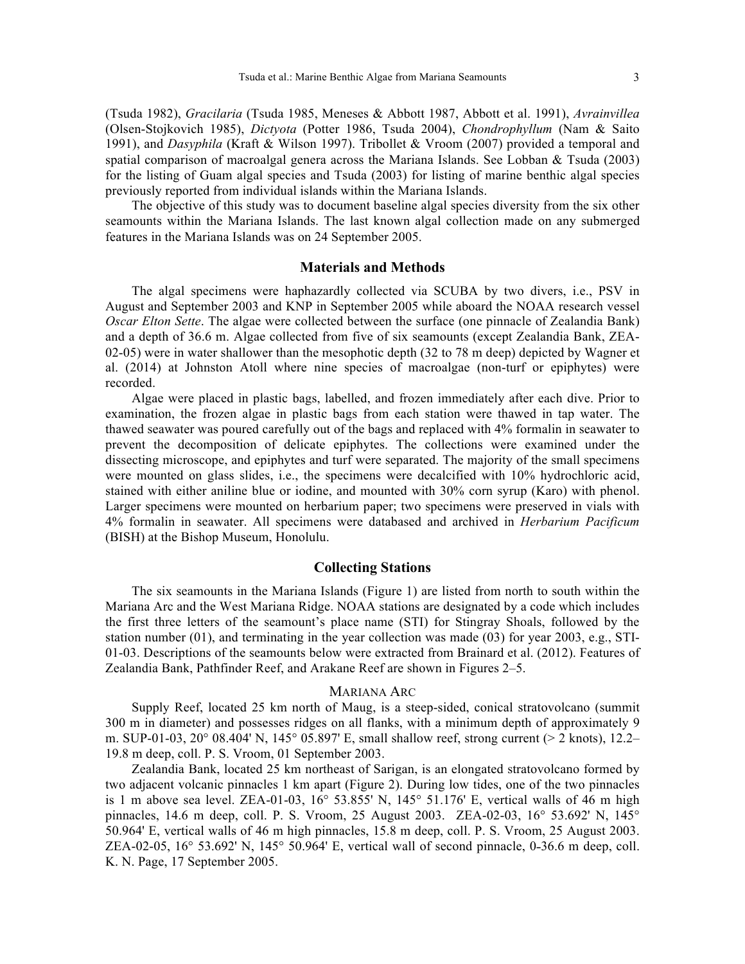(Tsuda 1982), *Gracilaria* (Tsuda 1985, Meneses & Abbott 1987, Abbott et al. 1991), *Avrainvillea* (Olsen-Stojkovich 1985), *Dictyota* (Potter 1986, Tsuda 2004), *Chondrophyllum* (Nam & Saito 1991), and *Dasyphila* (Kraft & Wilson 1997). Tribollet & Vroom (2007) provided a temporal and spatial comparison of macroalgal genera across the Mariana Islands. See Lobban & Tsuda (2003) for the listing of Guam algal species and Tsuda (2003) for listing of marine benthic algal species previously reported from individual islands within the Mariana Islands.

The objective of this study was to document baseline algal species diversity from the six other seamounts within the Mariana Islands. The last known algal collection made on any submerged features in the Mariana Islands was on 24 September 2005.

### **Materials and Methods**

The algal specimens were haphazardly collected via SCUBA by two divers, i.e., PSV in August and September 2003 and KNP in September 2005 while aboard the NOAA research vessel *Oscar Elton Sette*. The algae were collected between the surface (one pinnacle of Zealandia Bank) and a depth of 36.6 m. Algae collected from five of six seamounts (except Zealandia Bank, ZEA-02-05) were in water shallower than the mesophotic depth (32 to 78 m deep) depicted by Wagner et al. (2014) at Johnston Atoll where nine species of macroalgae (non-turf or epiphytes) were recorded.

Algae were placed in plastic bags, labelled, and frozen immediately after each dive. Prior to examination, the frozen algae in plastic bags from each station were thawed in tap water. The thawed seawater was poured carefully out of the bags and replaced with 4% formalin in seawater to prevent the decomposition of delicate epiphytes. The collections were examined under the dissecting microscope, and epiphytes and turf were separated. The majority of the small specimens were mounted on glass slides, i.e., the specimens were decalcified with 10% hydrochloric acid, stained with either aniline blue or iodine, and mounted with 30% corn syrup (Karo) with phenol. Larger specimens were mounted on herbarium paper; two specimens were preserved in vials with 4% formalin in seawater. All specimens were databased and archived in *Herbarium Pacificum*  (BISH) at the Bishop Museum, Honolulu.

#### **Collecting Stations**

The six seamounts in the Mariana Islands (Figure 1) are listed from north to south within the Mariana Arc and the West Mariana Ridge. NOAA stations are designated by a code which includes the first three letters of the seamount's place name (STI) for Stingray Shoals, followed by the station number (01), and terminating in the year collection was made (03) for year 2003, e.g., STI-01-03. Descriptions of the seamounts below were extracted from Brainard et al. (2012). Features of Zealandia Bank, Pathfinder Reef, and Arakane Reef are shown in Figures 2‒5.

#### MARIANA ARC

Supply Reef, located 25 km north of Maug, is a steep-sided, conical stratovolcano (summit 300 m in diameter) and possesses ridges on all flanks, with a minimum depth of approximately 9 m. SUP-01-03,  $20^{\circ}$  08.404' N, 145° 05.897' E, small shallow reef, strong current (> 2 knots), 12.2– 19.8 m deep, coll. P. S. Vroom, 01 September 2003.

Zealandia Bank, located 25 km northeast of Sarigan, is an elongated stratovolcano formed by two adjacent volcanic pinnacles 1 km apart (Figure 2). During low tides, one of the two pinnacles is 1 m above sea level. ZEA-01-03,  $16^{\circ}$  53.855' N,  $145^{\circ}$  51.176' E, vertical walls of  $46$  m high pinnacles, 14.6 m deep, coll. P. S. Vroom, 25 August 2003. ZEA-02-03, 16° 53.692' N, 145° 50.964' E, vertical walls of 46 m high pinnacles, 15.8 m deep, coll. P. S. Vroom, 25 August 2003. ZEA-02-05,  $16^{\circ}$  53.692' N,  $145^{\circ}$  50.964' E, vertical wall of second pinnacle, 0-36.6 m deep, coll. K. N. Page, 17 September 2005.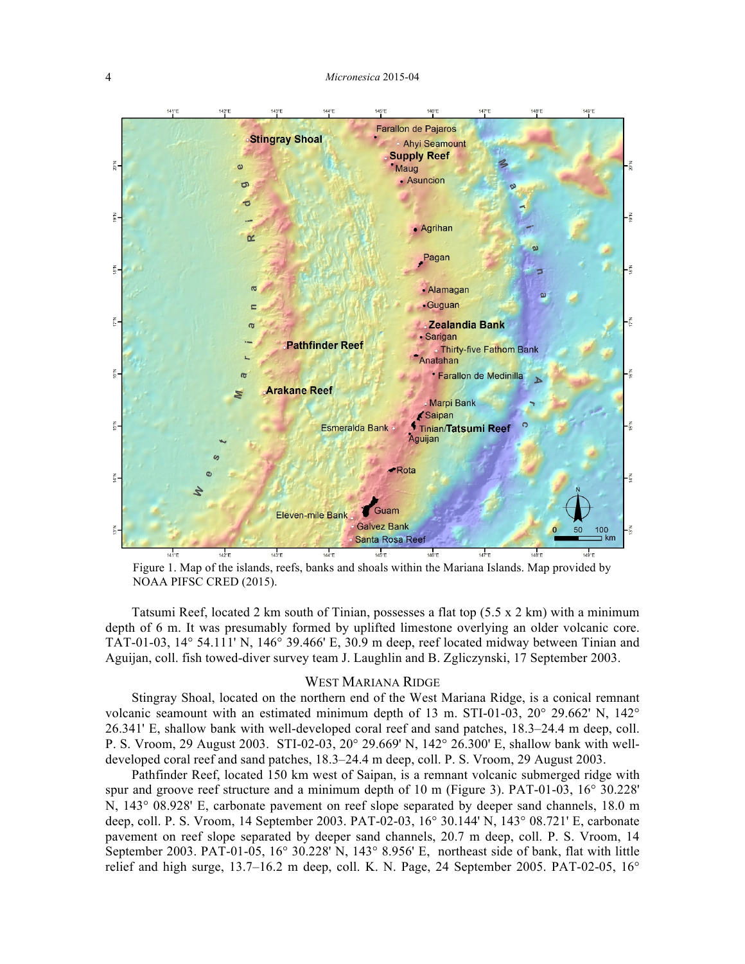

Figure 1. Map of the islands, reefs, banks and shoals within the Mariana Islands. Map provided by NOAA PIFSC CRED (2015).

Tatsumi Reef, located 2 km south of Tinian, possesses a flat top (5.5 x 2 km) with a minimum depth of 6 m. It was presumably formed by uplifted limestone overlying an older volcanic core. TAT-01-03, 14° 54.111' N, 146° 39.466' E, 30.9 m deep, reef located midway between Tinian and Aguijan, coll. fish towed-diver survey team J. Laughlin and B. Zgliczynski, 17 September 2003.

#### WEST MARIANA RIDGE

Stingray Shoal, located on the northern end of the West Mariana Ridge, is a conical remnant volcanic seamount with an estimated minimum depth of 13 m. STI-01-03, 20° 29.662' N, 142° 26.341' E, shallow bank with well-developed coral reef and sand patches, 18.3‒24.4 m deep, coll. P. S. Vroom, 29 August 2003. STI-02-03, 20° 29.669' N, 142° 26.300' E, shallow bank with welldeveloped coral reef and sand patches,  $18.3-24.4$  m deep, coll. P. S. Vroom, 29 August 2003.

Pathfinder Reef, located 150 km west of Saipan, is a remnant volcanic submerged ridge with spur and groove reef structure and a minimum depth of 10 m (Figure 3). PAT-01-03, 16° 30.228' N, 143° 08.928' E, carbonate pavement on reef slope separated by deeper sand channels, 18.0 m deep, coll. P. S. Vroom, 14 September 2003. PAT-02-03, 16° 30.144' N, 143° 08.721' E, carbonate pavement on reef slope separated by deeper sand channels, 20.7 m deep, coll. P. S. Vroom, 14 September 2003. PAT-01-05, 16° 30.228' N, 143° 8.956' E, northeast side of bank, flat with little relief and high surge,  $13.7-16.2$  m deep, coll. K. N. Page, 24 September 2005. PAT-02-05,  $16^{\circ}$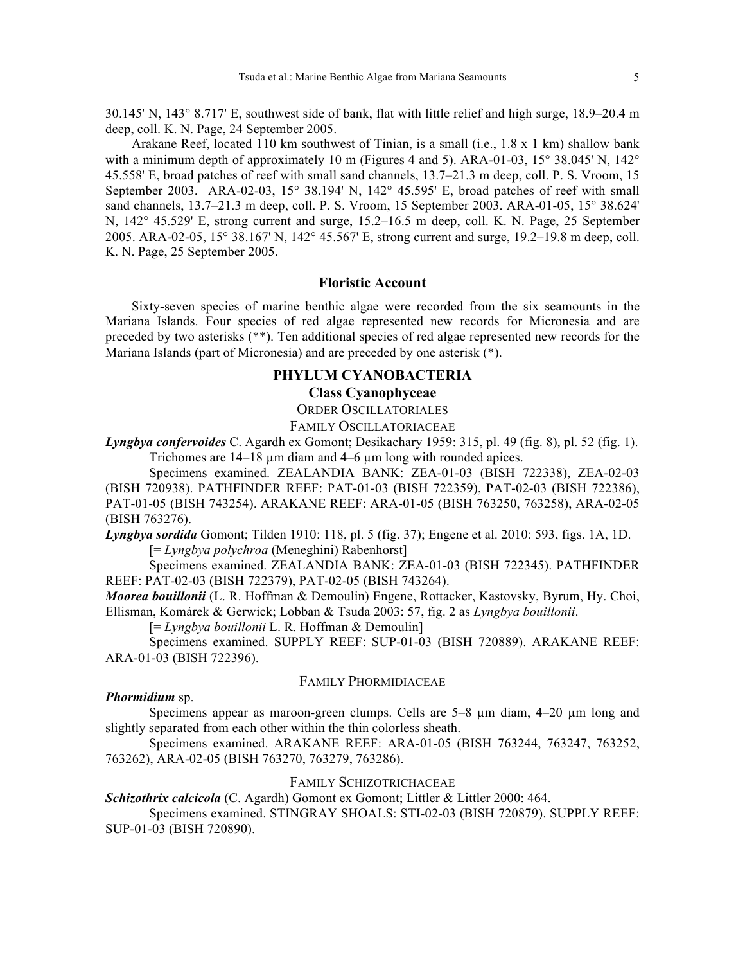30.145' N, 143° 8.717' E, southwest side of bank, flat with little relief and high surge, 18.9‒20.4 m deep, coll. K. N. Page, 24 September 2005.

Arakane Reef, located 110 km southwest of Tinian, is a small (i.e., 1.8 x 1 km) shallow bank with a minimum depth of approximately 10 m (Figures 4 and 5). ARA-01-03, 15 $^{\circ}$  38.045' N, 142 $^{\circ}$ 45.558' E, broad patches of reef with small sand channels, 13.7‒21.3 m deep, coll. P. S. Vroom, 15 September 2003. ARA-02-03, 15° 38.194' N, 142° 45.595' E, broad patches of reef with small sand channels, 13.7–21.3 m deep, coll. P. S. Vroom, 15 September 2003. ARA-01-05, 15° 38.624' N, 142° 45.529' E, strong current and surge, 15.2–16.5 m deep, coll. K. N. Page, 25 September 2005. ARA-02-05, 15° 38.167' N, 142° 45.567' E, strong current and surge, 19.2‒19.8 m deep, coll. K. N. Page, 25 September 2005.

#### **Floristic Account**

Sixty-seven species of marine benthic algae were recorded from the six seamounts in the Mariana Islands. Four species of red algae represented new records for Micronesia and are preceded by two asterisks (\*\*). Ten additional species of red algae represented new records for the Mariana Islands (part of Micronesia) and are preceded by one asterisk (\*).

# **PHYLUM CYANOBACTERIA**

# **Class Cyanophyceae**

ORDER OSCILLATORIALES

## FAMILY OSCILLATORIACEAE

*Lyngbya confervoides* C. Agardh ex Gomont; Desikachary 1959: 315, pl. 49 (fig. 8), pl. 52 (fig. 1). Trichomes are 14–18 µm diam and 4–6 µm long with rounded apices.

Specimens examined. ZEALANDIA BANK: ZEA-01-03 (BISH 722338), ZEA-02-03 (BISH 720938). PATHFINDER REEF: PAT-01-03 (BISH 722359), PAT-02-03 (BISH 722386), PAT-01-05 (BISH 743254). ARAKANE REEF: ARA-01-05 (BISH 763250, 763258), ARA-02-05 (BISH 763276).

*Lyngbya sordida* Gomont; Tilden 1910: 118, pl. 5 (fig. 37); Engene et al. 2010: 593, figs. 1A, 1D. [= *Lyngbya polychroa* (Meneghini) Rabenhorst]

Specimens examined. ZEALANDIA BANK: ZEA-01-03 (BISH 722345). PATHFINDER REEF: PAT-02-03 (BISH 722379), PAT-02-05 (BISH 743264).

*Moorea bouillonii* (L. R. Hoffman & Demoulin) Engene, Rottacker, Kastovsky, Byrum, Hy. Choi, Ellisman, Komárek & Gerwick; Lobban & Tsuda 2003: 57, fig. 2 as *Lyngbya bouillonii*.

[= *Lyngbya bouillonii* L. R. Hoffman & Demoulin]

Specimens examined. SUPPLY REEF: SUP-01-03 (BISH 720889). ARAKANE REEF: ARA-01-03 (BISH 722396).

#### FAMILY PHORMIDIACEAE

#### *Phormidium* sp.

Specimens appear as maroon-green clumps. Cells are 5–8 µm diam, 4–20 µm long and slightly separated from each other within the thin colorless sheath.

Specimens examined. ARAKANE REEF: ARA-01-05 (BISH 763244, 763247, 763252, 763262), ARA-02-05 (BISH 763270, 763279, 763286).

## FAMILY SCHIZOTRICHACEAE

*Schizothrix calcicola* (C. Agardh) Gomont ex Gomont; Littler & Littler 2000: 464.

Specimens examined. STINGRAY SHOALS: STI-02-03 (BISH 720879). SUPPLY REEF: SUP-01-03 (BISH 720890).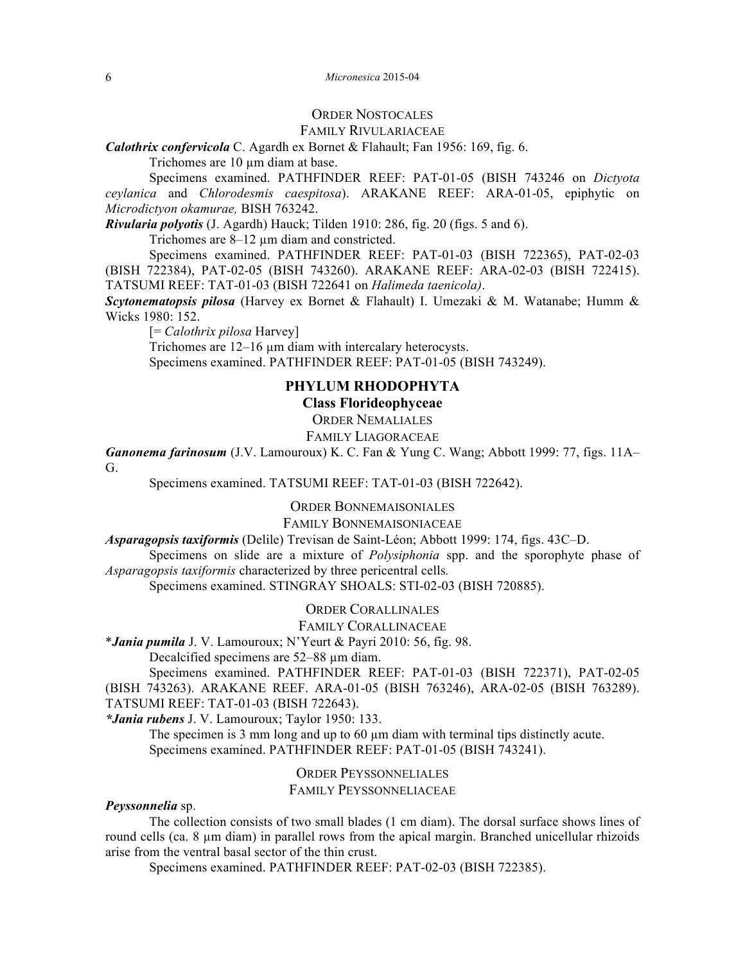#### 6 *Micronesica* 2015-04

## ORDER NOSTOCALES

#### FAMILY RIVULARIACEAE

*Calothrix confervicola* C. Agardh ex Bornet & Flahault; Fan 1956: 169, fig. 6.

Trichomes are 10  $\mu$ m diam at base.

Specimens examined. PATHFINDER REEF: PAT-01-05 (BISH 743246 on *Dictyota ceylanica* and *Chlorodesmis caespitosa*). ARAKANE REEF: ARA-01-05, epiphytic on *Microdictyon okamurae,* BISH 763242.

*Rivularia polyotis* (J. Agardh) Hauck; Tilden 1910: 286, fig. 20 (figs. 5 and 6).

Trichomes are 8–12  $\mu$ m diam and constricted.

Specimens examined. PATHFINDER REEF: PAT-01-03 (BISH 722365), PAT-02-03 (BISH 722384), PAT-02-05 (BISH 743260). ARAKANE REEF: ARA-02-03 (BISH 722415). TATSUMI REEF: TAT-01-03 (BISH 722641 on *Halimeda taenicola)*.

*Scytonematopsis pilosa* (Harvey ex Bornet & Flahault) I. Umezaki & M. Watanabe; Humm & Wicks 1980: 152.

[= *Calothrix pilosa* Harvey]

Trichomes are 12-16  $\mu$ m diam with intercalary heterocysts. Specimens examined. PATHFINDER REEF: PAT-01-05 (BISH 743249).

# **PHYLUM RHODOPHYTA**

**Class Florideophyceae**

ORDER NEMALIALES

FAMILY LIAGORACEAE

*Ganonema farinosum* (J.V. Lamouroux) K. C. Fan & Yung C. Wang; Abbott 1999: 77, figs. 11A– G.

Specimens examined. TATSUMI REEF: TAT-01-03 (BISH 722642).

ORDER BONNEMAISONIALES

FAMILY BONNEMAISONIACEAE

*Asparagopsis taxiformis* (Delile) Trevisan de Saint-Léon; Abbott 1999: 174, figs. 43C‒D.

Specimens on slide are a mixture of *Polysiphonia* spp. and the sporophyte phase of *Asparagopsis taxiformis* characterized by three pericentral cells*.*

Specimens examined. STINGRAY SHOALS: STI-02-03 (BISH 720885).

ORDER CORALLINALES

FAMILY CORALLINACEAE

\**Jania pumila* J. V. Lamouroux; N'Yeurt & Payri 2010: 56, fig. 98.

Decalcified specimens are 52–88  $\mu$ m diam.

Specimens examined. PATHFINDER REEF: PAT-01-03 (BISH 722371), PAT-02-05 (BISH 743263). ARAKANE REEF. ARA-01-05 (BISH 763246), ARA-02-05 (BISH 763289). TATSUMI REEF: TAT-01-03 (BISH 722643).

*\*Jania rubens* J. V. Lamouroux; Taylor 1950: 133.

The specimen is 3 mm long and up to  $60 \mu m$  diam with terminal tips distinctly acute. Specimens examined. PATHFINDER REEF: PAT-01-05 (BISH 743241).

ORDER PEYSSONNELIALES

FAMILY PEYSSONNELIACEAE

## *Peyssonnelia* sp.

The collection consists of two small blades (1 cm diam). The dorsal surface shows lines of round cells (ca. 8 µm diam) in parallel rows from the apical margin. Branched unicellular rhizoids arise from the ventral basal sector of the thin crust.

Specimens examined. PATHFINDER REEF: PAT-02-03 (BISH 722385).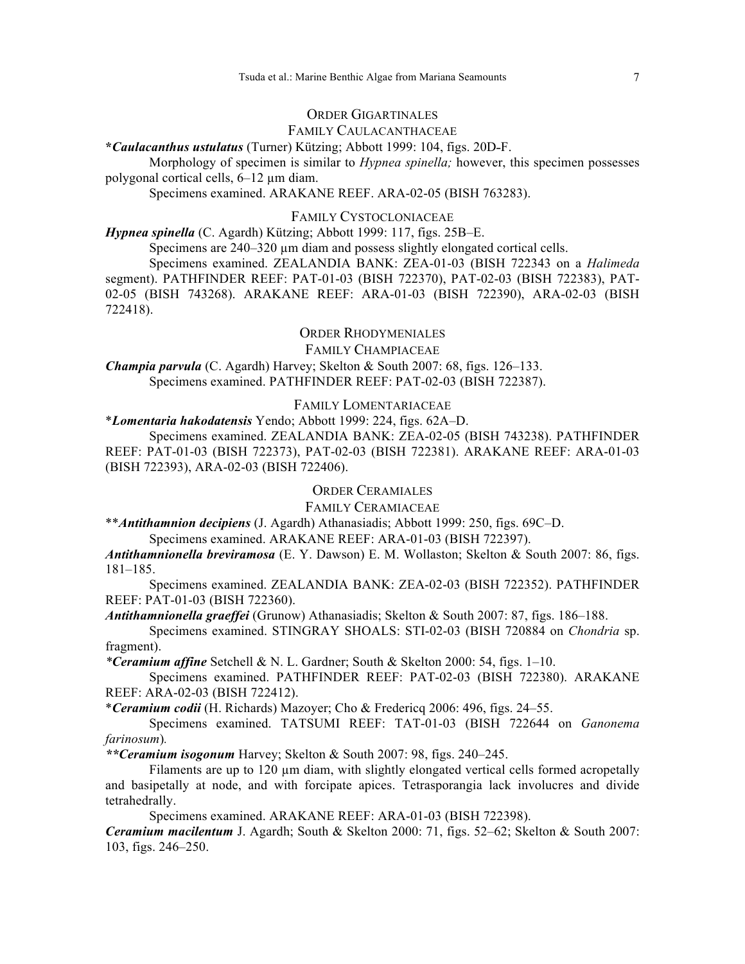## ORDER GIGARTINALES

#### FAMILY CAULACANTHACEAE

**\****Caulacanthus ustulatus* (Turner) Kützing; Abbott 1999: 104, figs. 20D˗F.

Morphology of specimen is similar to *Hypnea spinella;* however, this specimen possesses polygonal cortical cells, 6‒12 µm diam.

Specimens examined. ARAKANE REEF. ARA-02-05 (BISH 763283).

#### FAMILY CYSTOCLONIACEAE

*Hypnea spinella* (C. Agardh) Kützing; Abbott 1999: 117, figs. 25B-E.

Specimens are 240–320 µm diam and possess slightly elongated cortical cells.

Specimens examined. ZEALANDIA BANK: ZEA-01-03 (BISH 722343 on a *Halimeda* segment). PATHFINDER REEF: PAT-01-03 (BISH 722370), PAT-02-03 (BISH 722383), PAT-02-05 (BISH 743268). ARAKANE REEF: ARA-01-03 (BISH 722390), ARA-02-03 (BISH 722418).

#### ORDER RHODYMENIALES

FAMILY CHAMPIACEAE

*Champia parvula* (C. Agardh) Harvey; Skelton & South 2007: 68, figs. 126–133. Specimens examined. PATHFINDER REEF: PAT-02-03 (BISH 722387).

# FAMILY LOMENTARIACEAE

\**Lomentaria hakodatensis* Yendo; Abbott 1999: 224, figs. 62A‒D.

Specimens examined. ZEALANDIA BANK: ZEA-02-05 (BISH 743238). PATHFINDER REEF: PAT-01-03 (BISH 722373), PAT-02-03 (BISH 722381). ARAKANE REEF: ARA-01-03 (BISH 722393), ARA-02-03 (BISH 722406).

# ORDER CERAMIALES

FAMILY CERAMIACEAE

\*\**Antithamnion decipiens* (J. Agardh) Athanasiadis; Abbott 1999: 250, figs. 69C‒D. Specimens examined. ARAKANE REEF: ARA-01-03 (BISH 722397).

*Antithamnionella breviramosa* (E. Y. Dawson) E. M. Wollaston; Skelton & South 2007: 86, figs. 181‒185.

Specimens examined. ZEALANDIA BANK: ZEA-02-03 (BISH 722352). PATHFINDER REEF: PAT-01-03 (BISH 722360).

*Antithamnionella graeffei* (Grunow) Athanasiadis; Skelton & South 2007: 87, figs. 186–188.

Specimens examined. STINGRAY SHOALS: STI-02-03 (BISH 720884 on *Chondria* sp. fragment).

*\*Ceramium affine* Setchell & N. L. Gardner; South & Skelton 2000: 54, figs. 1‒10.

Specimens examined. PATHFINDER REEF: PAT-02-03 (BISH 722380). ARAKANE REEF: ARA-02-03 (BISH 722412).

\**Ceramium codii* (H. Richards) Mazoyer; Cho & Fredericq 2006: 496, figs. 24‒55.

Specimens examined. TATSUMI REEF: TAT-01-03 (BISH 722644 on *Ganonema farinosum*)*.*

*\*\*Ceramium isogonum* Harvey; Skelton & South 2007: 98, figs. 240‒245.

Filaments are up to 120  $\mu$ m diam, with slightly elongated vertical cells formed acropetally and basipetally at node, and with forcipate apices. Tetrasporangia lack involucres and divide tetrahedrally.

Specimens examined. ARAKANE REEF: ARA-01-03 (BISH 722398).

*Ceramium macilentum* J. Agardh; South & Skelton 2000: 71, figs. 52‒62; Skelton & South 2007: 103, figs. 246‒250.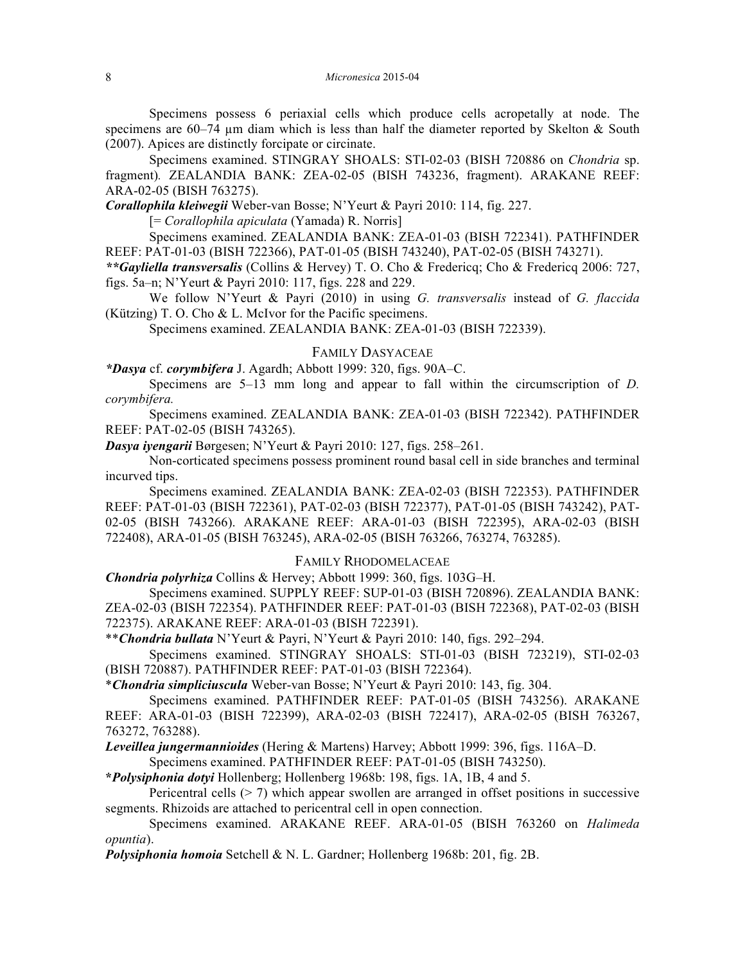Specimens possess 6 periaxial cells which produce cells acropetally at node. The specimens are  $60-74$  µm diam which is less than half the diameter reported by Skelton & South (2007). Apices are distinctly forcipate or circinate.

Specimens examined. STINGRAY SHOALS: STI-02-03 (BISH 720886 on *Chondria* sp. fragment)*.* ZEALANDIA BANK: ZEA-02-05 (BISH 743236, fragment). ARAKANE REEF: ARA-02-05 (BISH 763275).

*Corallophila kleiwegii* Weber-van Bosse; N'Yeurt & Payri 2010: 114, fig. 227.

[= *Corallophila apiculata* (Yamada) R. Norris]

Specimens examined. ZEALANDIA BANK: ZEA-01-03 (BISH 722341). PATHFINDER REEF: PAT-01-03 (BISH 722366), PAT-01-05 (BISH 743240), PAT-02-05 (BISH 743271).

*\*\*Gayliella transversalis* (Collins & Hervey) T. O. Cho & Fredericq; Cho & Fredericq 2006: 727, figs. 5a–n; N'Yeurt & Payri 2010: 117, figs. 228 and 229.

We follow N'Yeurt & Payri (2010) in using *G. transversalis* instead of *G. flaccida*  (Kützing) T. O. Cho & L. McIvor for the Pacific specimens.

Specimens examined. ZEALANDIA BANK: ZEA-01-03 (BISH 722339).

#### FAMILY DASYACEAE

*\*Dasya* cf. *corymbifera* J. Agardh; Abbott 1999: 320, figs. 90A‒C.

Specimens are 5–13 mm long and appear to fall within the circumscription of *D*. *corymbifera.*

Specimens examined. ZEALANDIA BANK: ZEA-01-03 (BISH 722342). PATHFINDER REEF: PAT-02-05 (BISH 743265).

*Dasya iyengarii* Børgesen; N'Yeurt & Payri 2010: 127, figs. 258–261.

Non-corticated specimens possess prominent round basal cell in side branches and terminal incurved tips.

Specimens examined. ZEALANDIA BANK: ZEA-02-03 (BISH 722353). PATHFINDER REEF: PAT-01-03 (BISH 722361), PAT-02-03 (BISH 722377), PAT-01-05 (BISH 743242), PAT-02-05 (BISH 743266). ARAKANE REEF: ARA-01-03 (BISH 722395), ARA-02-03 (BISH 722408), ARA-01-05 (BISH 763245), ARA-02-05 (BISH 763266, 763274, 763285).

#### FAMILY RHODOMELACEAE

*Chondria polyrhiza* Collins & Hervey; Abbott 1999: 360, figs. 103G–H.

Specimens examined. SUPPLY REEF: SUP-01-03 (BISH 720896). ZEALANDIA BANK: ZEA-02-03 (BISH 722354). PATHFINDER REEF: PAT-01-03 (BISH 722368), PAT-02-03 (BISH 722375). ARAKANE REEF: ARA-01-03 (BISH 722391).

\*\**Chondria bullata* N'Yeurt & Payri, N'Yeurt & Payri 2010: 140, figs. 292‒294.

Specimens examined. STINGRAY SHOALS: STI-01-03 (BISH 723219), STI-02-03 (BISH 720887). PATHFINDER REEF: PAT-01-03 (BISH 722364).

\**Chondria simpliciuscula* Weber-van Bosse; N'Yeurt & Payri 2010: 143, fig. 304.

Specimens examined. PATHFINDER REEF: PAT-01-05 (BISH 743256). ARAKANE REEF: ARA-01-03 (BISH 722399), ARA-02-03 (BISH 722417), ARA-02-05 (BISH 763267, 763272, 763288).

*Leveillea jungermannioides* (Hering & Martens) Harvey; Abbott 1999: 396, figs. 116A‒D.

Specimens examined. PATHFINDER REEF: PAT-01-05 (BISH 743250).

**\****Polysiphonia dotyi* Hollenberg; Hollenberg 1968b: 198, figs. 1A, 1B, 4 and 5.

Pericentral cells  $(> 7)$  which appear swollen are arranged in offset positions in successive segments. Rhizoids are attached to pericentral cell in open connection.

Specimens examined. ARAKANE REEF. ARA-01-05 (BISH 763260 on *Halimeda opuntia*).

*Polysiphonia homoia* Setchell & N. L. Gardner; Hollenberg 1968b: 201, fig. 2B.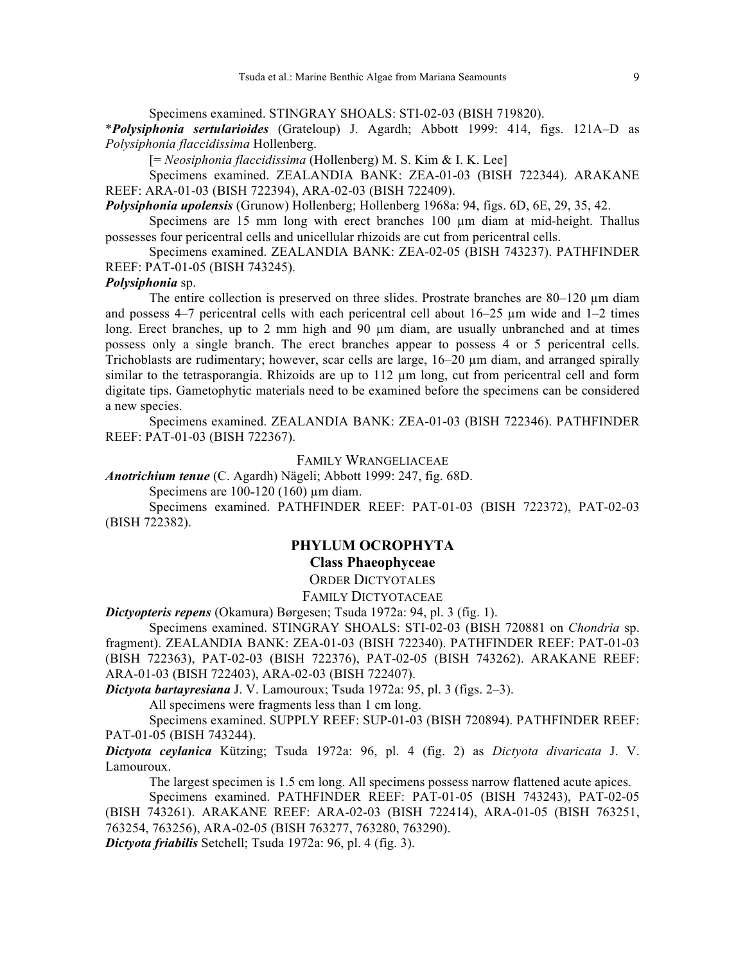Specimens examined. STINGRAY SHOALS: STI-02-03 (BISH 719820).

\**Polysiphonia sertularioides* (Grateloup) J. Agardh; Abbott 1999: 414, figs. 121A‒D as *Polysiphonia flaccidissima* Hollenberg.

[= *Neosiphonia flaccidissima* (Hollenberg) M. S. Kim & I. K. Lee]

Specimens examined. ZEALANDIA BANK: ZEA-01-03 (BISH 722344). ARAKANE REEF: ARA-01-03 (BISH 722394), ARA-02-03 (BISH 722409).

*Polysiphonia upolensis* (Grunow) Hollenberg; Hollenberg 1968a: 94, figs. 6D, 6E, 29, 35, 42.

Specimens are 15 mm long with erect branches 100 µm diam at mid-height. Thallus possesses four pericentral cells and unicellular rhizoids are cut from pericentral cells.

Specimens examined. ZEALANDIA BANK: ZEA-02-05 (BISH 743237). PATHFINDER REEF: PAT-01-05 (BISH 743245).

#### *Polysiphonia* sp.

The entire collection is preserved on three slides. Prostrate branches are 80–120 µm diam and possess  $4-7$  pericentral cells with each pericentral cell about  $16-25$  µm wide and  $1-2$  times long. Erect branches, up to 2 mm high and 90  $\mu$ m diam, are usually unbranched and at times possess only a single branch. The erect branches appear to possess 4 or 5 pericentral cells. Trichoblasts are rudimentary; however, scar cells are large,  $16-20 \mu m$  diam, and arranged spirally similar to the tetrasporangia. Rhizoids are up to 112  $\mu$ m long, cut from pericentral cell and form digitate tips. Gametophytic materials need to be examined before the specimens can be considered a new species.

Specimens examined. ZEALANDIA BANK: ZEA-01-03 (BISH 722346). PATHFINDER REEF: PAT-01-03 (BISH 722367).

FAMILY WRANGELIACEAE

*Anotrichium tenue* (C. Agardh) Nägeli; Abbott 1999: 247, fig. 68D.

Specimens are  $100-120$  (160) µm diam.

Specimens examined. PATHFINDER REEF: PAT-01-03 (BISH 722372), PAT-02-03 (BISH 722382).

# **PHYLUM OCROPHYTA**

# **Class Phaeophyceae**

ORDER DICTYOTALES FAMILY DICTYOTACEAE

*Dictyopteris repens* (Okamura) Børgesen; Tsuda 1972a: 94, pl. 3 (fig. 1).

Specimens examined. STINGRAY SHOALS: STI-02-03 (BISH 720881 on *Chondria* sp. fragment). ZEALANDIA BANK: ZEA-01-03 (BISH 722340). PATHFINDER REEF: PAT-01-03 (BISH 722363), PAT-02-03 (BISH 722376), PAT-02-05 (BISH 743262). ARAKANE REEF: ARA-01-03 (BISH 722403), ARA-02-03 (BISH 722407).

*Dictyota bartayresiana* J. V. Lamouroux; Tsuda 1972a: 95, pl. 3 (figs. 2‒3).

All specimens were fragments less than 1 cm long.

Specimens examined. SUPPLY REEF: SUP-01-03 (BISH 720894). PATHFINDER REEF: PAT-01-05 (BISH 743244).

*Dictyota ceylanica* Kützing; Tsuda 1972a: 96, pl. 4 (fig. 2) as *Dictyota divaricata* J. V. Lamouroux.

The largest specimen is 1.5 cm long. All specimens possess narrow flattened acute apices. Specimens examined. PATHFINDER REEF: PAT-01-05 (BISH 743243), PAT-02-05

(BISH 743261). ARAKANE REEF: ARA-02-03 (BISH 722414), ARA-01-05 (BISH 763251, 763254, 763256), ARA-02-05 (BISH 763277, 763280, 763290).

*Dictyota friabilis* Setchell; Tsuda 1972a: 96, pl. 4 (fig. 3).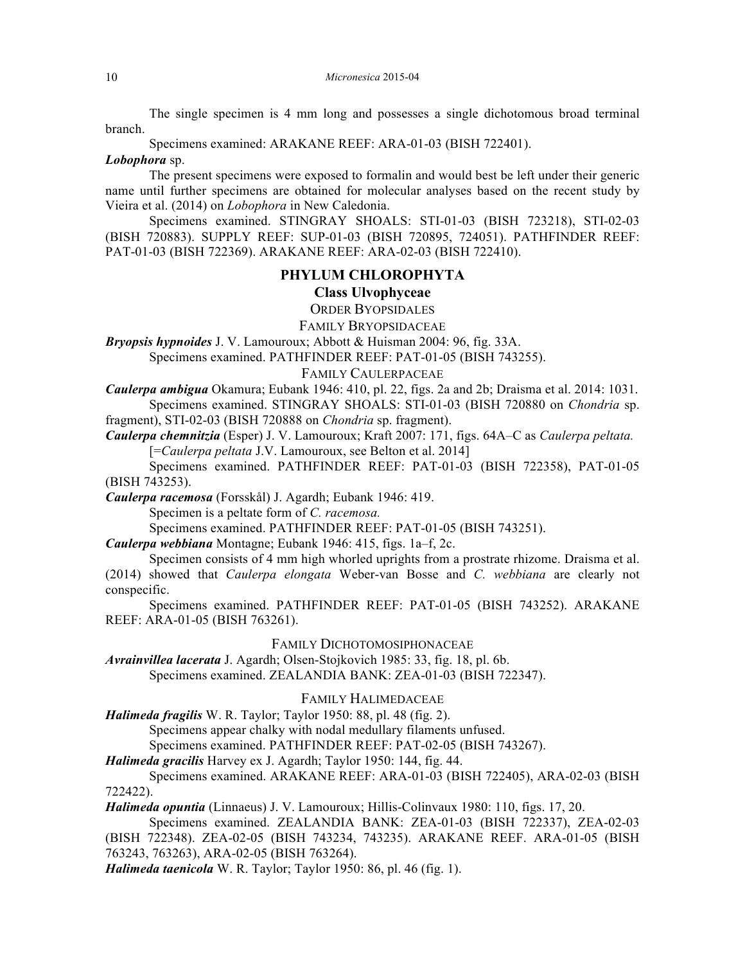The single specimen is 4 mm long and possesses a single dichotomous broad terminal branch.

Specimens examined: ARAKANE REEF: ARA-01-03 (BISH 722401).

#### *Lobophora* sp.

The present specimens were exposed to formalin and would best be left under their generic name until further specimens are obtained for molecular analyses based on the recent study by Vieira et al. (2014) on *Lobophora* in New Caledonia.

Specimens examined. STINGRAY SHOALS: STI-01-03 (BISH 723218), STI-02-03 (BISH 720883). SUPPLY REEF: SUP-01-03 (BISH 720895, 724051). PATHFINDER REEF: PAT-01-03 (BISH 722369). ARAKANE REEF: ARA-02-03 (BISH 722410).

## **PHYLUM CHLOROPHYTA**

# **Class Ulvophyceae**

ORDER BYOPSIDALES

FAMILY BRYOPSIDACEAE

*Bryopsis hypnoides* J. V. Lamouroux; Abbott & Huisman 2004: 96, fig. 33A.

Specimens examined. PATHFINDER REEF: PAT-01-05 (BISH 743255).

## FAMILY CAULERPACEAE

*Caulerpa ambigua* Okamura; Eubank 1946: 410, pl. 22, figs. 2a and 2b; Draisma et al. 2014: 1031. Specimens examined. STINGRAY SHOALS: STI-01-03 (BISH 720880 on *Chondria* sp.

fragment), STI-02-03 (BISH 720888 on *Chondria* sp. fragment).

*Caulerpa chemnitzia* (Esper) J. V. Lamouroux; Kraft 2007: 171, figs. 64A‒C as *Caulerpa peltata.* [=*Caulerpa peltata* J.V. Lamouroux, see Belton et al. 2014]

Specimens examined. PATHFINDER REEF: PAT-01-03 (BISH 722358), PAT-01-05 (BISH 743253).

*Caulerpa racemosa* (Forsskål) J. Agardh; Eubank 1946: 419.

Specimen is a peltate form of *C. racemosa.*

Specimens examined. PATHFINDER REEF: PAT-01-05 (BISH 743251).

*Caulerpa webbiana* Montagne; Eubank 1946: 415, figs. 1a–f, 2c.

Specimen consists of 4 mm high whorled uprights from a prostrate rhizome. Draisma et al. (2014) showed that *Caulerpa elongata* Weber-van Bosse and *C. webbiana* are clearly not conspecific.

Specimens examined. PATHFINDER REEF: PAT-01-05 (BISH 743252). ARAKANE REEF: ARA-01-05 (BISH 763261).

#### FAMILY DICHOTOMOSIPHONACEAE

*Avrainvillea lacerata* J. Agardh; Olsen-Stojkovich 1985: 33, fig. 18, pl. 6b. Specimens examined. ZEALANDIA BANK: ZEA-01-03 (BISH 722347).

## FAMILY HALIMEDACEAE

*Halimeda fragilis* W. R. Taylor; Taylor 1950: 88, pl. 48 (fig. 2).

Specimens appear chalky with nodal medullary filaments unfused.

Specimens examined. PATHFINDER REEF: PAT-02-05 (BISH 743267).

# *Halimeda gracilis* Harvey ex J. Agardh; Taylor 1950: 144, fig. 44.

Specimens examined. ARAKANE REEF: ARA-01-03 (BISH 722405), ARA-02-03 (BISH 722422).

*Halimeda opuntia* (Linnaeus) J. V. Lamouroux; Hillis-Colinvaux 1980: 110, figs. 17, 20.

Specimens examined. ZEALANDIA BANK: ZEA-01-03 (BISH 722337), ZEA-02-03 (BISH 722348). ZEA-02-05 (BISH 743234, 743235). ARAKANE REEF. ARA-01-05 (BISH 763243, 763263), ARA-02-05 (BISH 763264).

*Halimeda taenicola* W. R. Taylor; Taylor 1950: 86, pl. 46 (fig. 1).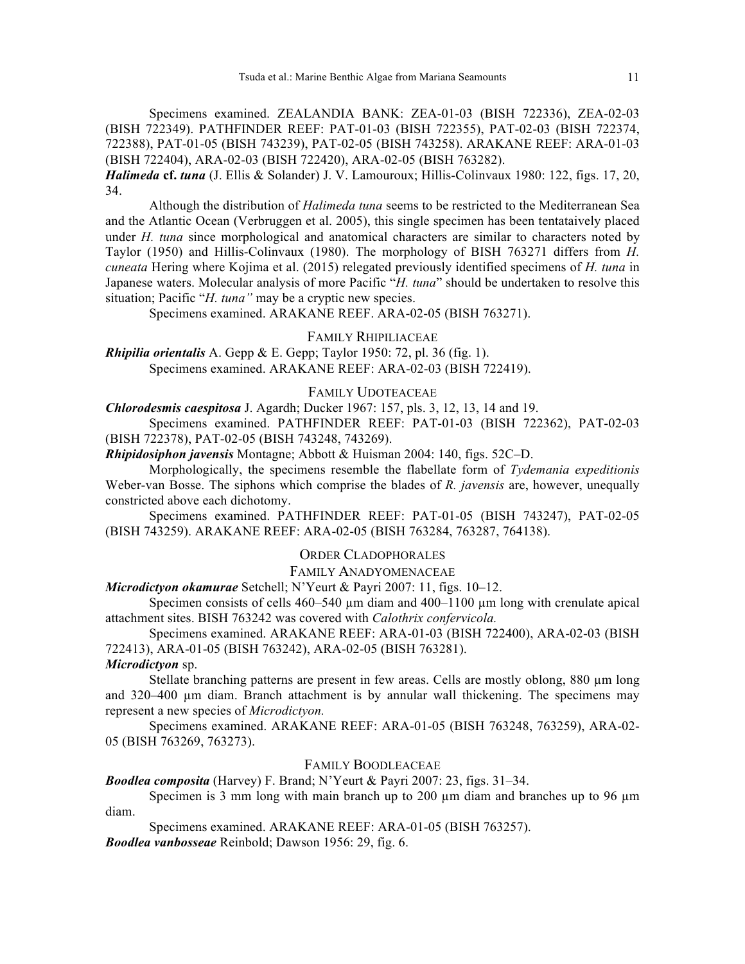Specimens examined. ZEALANDIA BANK: ZEA-01-03 (BISH 722336), ZEA-02-03 (BISH 722349). PATHFINDER REEF: PAT-01-03 (BISH 722355), PAT-02-03 (BISH 722374, 722388), PAT-01-05 (BISH 743239), PAT-02-05 (BISH 743258). ARAKANE REEF: ARA-01-03 (BISH 722404), ARA-02-03 (BISH 722420), ARA-02-05 (BISH 763282).

*Halimeda* **cf.** *tuna* (J. Ellis & Solander) J. V. Lamouroux; Hillis-Colinvaux 1980: 122, figs. 17, 20, 34.

Although the distribution of *Halimeda tuna* seems to be restricted to the Mediterranean Sea and the Atlantic Ocean (Verbruggen et al. 2005), this single specimen has been tentataively placed under *H. tuna* since morphological and anatomical characters are similar to characters noted by Taylor (1950) and Hillis-Colinvaux (1980). The morphology of BISH 763271 differs from *H. cuneata* Hering where Kojima et al. (2015) relegated previously identified specimens of *H. tuna* in Japanese waters. Molecular analysis of more Pacific "*H. tuna*" should be undertaken to resolve this situation; Pacific "*H. tuna"* may be a cryptic new species.

Specimens examined. ARAKANE REEF. ARA-02-05 (BISH 763271).

## FAMILY RHIPILIACEAE

*Rhipilia orientalis* A. Gepp & E. Gepp; Taylor 1950: 72, pl. 36 (fig. 1). Specimens examined. ARAKANE REEF: ARA-02-03 (BISH 722419).

#### FAMILY UDOTEACEAE

*Chlorodesmis caespitosa* J. Agardh; Ducker 1967: 157, pls. 3, 12, 13, 14 and 19.

Specimens examined. PATHFINDER REEF: PAT-01-03 (BISH 722362), PAT-02-03 (BISH 722378), PAT-02-05 (BISH 743248, 743269).

*Rhipidosiphon javensis* Montagne; Abbott & Huisman 2004: 140, figs. 52C‒D.

Morphologically, the specimens resemble the flabellate form of *Tydemania expeditionis*  Weber-van Bosse. The siphons which comprise the blades of *R. javensis* are, however, unequally constricted above each dichotomy.

Specimens examined. PATHFINDER REEF: PAT-01-05 (BISH 743247), PAT-02-05 (BISH 743259). ARAKANE REEF: ARA-02-05 (BISH 763284, 763287, 764138).

# ORDER CLADOPHORALES

# FAMILY ANADYOMENACEAE

*Microdictyon okamurae* Setchell; N'Yeurt & Payri 2007: 11, figs. 10–12.

Specimen consists of cells  $460-540 \mu m$  diam and  $400-1100 \mu m$  long with crenulate apical attachment sites. BISH 763242 was covered with *Calothrix confervicola.*

Specimens examined. ARAKANE REEF: ARA-01-03 (BISH 722400), ARA-02-03 (BISH 722413), ARA-01-05 (BISH 763242), ARA-02-05 (BISH 763281).

## *Microdictyon* sp.

Stellate branching patterns are present in few areas. Cells are mostly oblong, 880 µm long and 320–400 µm diam. Branch attachment is by annular wall thickening. The specimens may represent a new species of *Microdictyon.*

Specimens examined. ARAKANE REEF: ARA-01-05 (BISH 763248, 763259), ARA-02- 05 (BISH 763269, 763273).

#### FAMILY BOODLEACEAE

*Boodlea composita* (Harvey) F. Brand; N'Yeurt & Payri 2007: 23, figs. 31–34.

Specimen is 3 mm long with main branch up to 200  $\mu$ m diam and branches up to 96  $\mu$ m diam.

Specimens examined. ARAKANE REEF: ARA-01-05 (BISH 763257). *Boodlea vanbosseae* Reinbold; Dawson 1956: 29, fig. 6.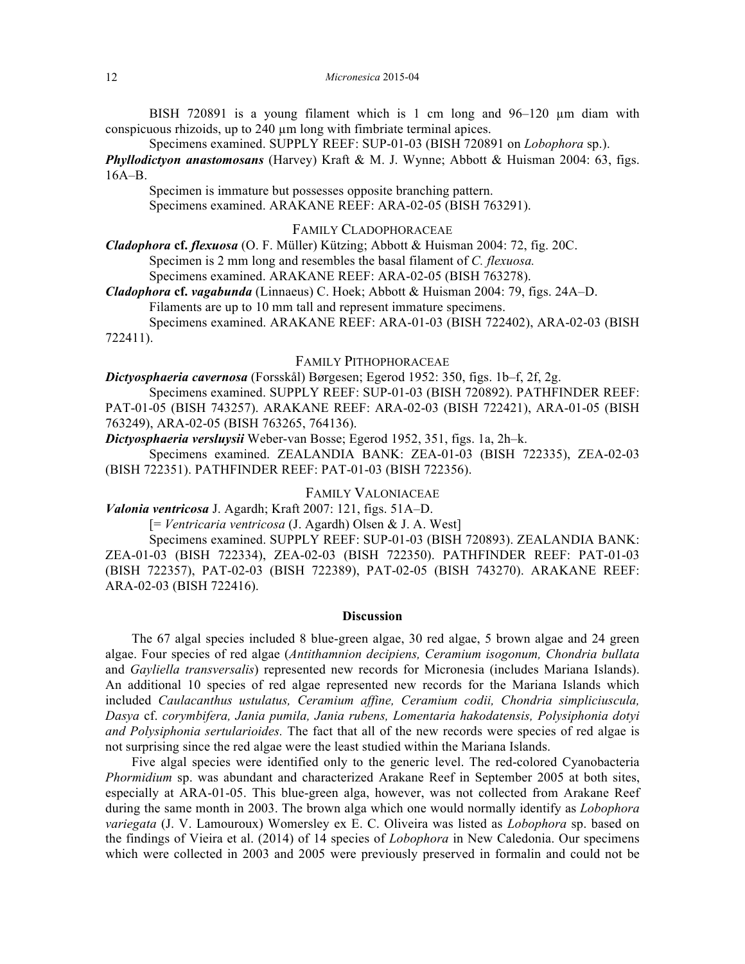BISH 720891 is a young filament which is 1 cm long and  $96-120 \mu m$  diam with conspicuous rhizoids, up to 240 µm long with fimbriate terminal apices.

Specimens examined. SUPPLY REEF: SUP-01-03 (BISH 720891 on *Lobophora* sp.).

*Phyllodictyon anastomosans* (Harvey) Kraft & M. J. Wynne; Abbott & Huisman 2004: 63, figs.  $16A-B$ .

Specimen is immature but possesses opposite branching pattern. Specimens examined. ARAKANE REEF: ARA-02-05 (BISH 763291).

## FAMILY CLADOPHORACEAE

*Cladophora* **cf.** *flexuosa* (O. F. Müller) Kützing; Abbott & Huisman 2004: 72, fig. 20C.

Specimen is 2 mm long and resembles the basal filament of *C. flexuosa.*

Specimens examined. ARAKANE REEF: ARA-02-05 (BISH 763278).

*Cladophora* **cf.** *vagabunda* (Linnaeus) C. Hoek; Abbott & Huisman 2004: 79, figs. 24A‒D. Filaments are up to 10 mm tall and represent immature specimens.

Specimens examined. ARAKANE REEF: ARA-01-03 (BISH 722402), ARA-02-03 (BISH 722411).

## FAMILY PITHOPHORACEAE

*Dictyosphaeria cavernosa* (Forsskål) Børgesen; Egerod 1952: 350, figs. 1b‒f, 2f, 2g.

Specimens examined. SUPPLY REEF: SUP-01-03 (BISH 720892). PATHFINDER REEF: PAT-01-05 (BISH 743257). ARAKANE REEF: ARA-02-03 (BISH 722421), ARA-01-05 (BISH 763249), ARA-02-05 (BISH 763265, 764136).

*Dictyosphaeria versluysii* Weber-van Bosse; Egerod 1952, 351, figs. 1a, 2h‒k.

Specimens examined. ZEALANDIA BANK: ZEA-01-03 (BISH 722335), ZEA-02-03 (BISH 722351). PATHFINDER REEF: PAT-01-03 (BISH 722356).

# FAMILY VALONIACEAE

Valonia ventricosa J. Agardh; Kraft 2007: 121, figs. 51A-D.

[= *Ventricaria ventricosa* (J. Agardh) Olsen & J. A. West]

Specimens examined. SUPPLY REEF: SUP-01-03 (BISH 720893). ZEALANDIA BANK: ZEA-01-03 (BISH 722334), ZEA-02-03 (BISH 722350). PATHFINDER REEF: PAT-01-03 (BISH 722357), PAT-02-03 (BISH 722389), PAT-02-05 (BISH 743270). ARAKANE REEF: ARA-02-03 (BISH 722416).

## **Discussion**

The 67 algal species included 8 blue-green algae, 30 red algae, 5 brown algae and 24 green algae. Four species of red algae (*Antithamnion decipiens, Ceramium isogonum, Chondria bullata*  and *Gayliella transversalis*) represented new records for Micronesia (includes Mariana Islands). An additional 10 species of red algae represented new records for the Mariana Islands which included *Caulacanthus ustulatus, Ceramium affine, Ceramium codii, Chondria simpliciuscula, Dasya* cf. *corymbifera, Jania pumila, Jania rubens, Lomentaria hakodatensis, Polysiphonia dotyi and Polysiphonia sertularioides.* The fact that all of the new records were species of red algae is not surprising since the red algae were the least studied within the Mariana Islands.

Five algal species were identified only to the generic level. The red-colored Cyanobacteria *Phormidium* sp. was abundant and characterized Arakane Reef in September 2005 at both sites, especially at ARA-01-05. This blue-green alga, however, was not collected from Arakane Reef during the same month in 2003. The brown alga which one would normally identify as *Lobophora variegata* (J. V. Lamouroux) Womersley ex E. C. Oliveira was listed as *Lobophora* sp. based on the findings of Vieira et al. (2014) of 14 species of *Lobophora* in New Caledonia. Our specimens which were collected in 2003 and 2005 were previously preserved in formalin and could not be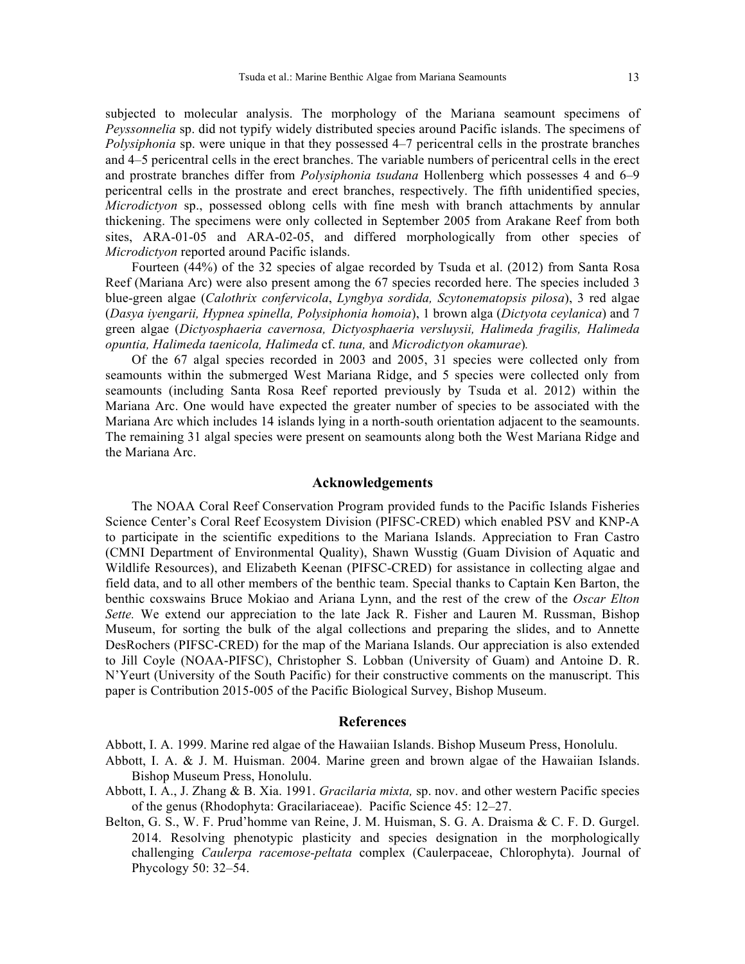subjected to molecular analysis. The morphology of the Mariana seamount specimens of *Peyssonnelia* sp. did not typify widely distributed species around Pacific islands. The specimens of *Polysiphonia* sp. were unique in that they possessed 4–7 pericentral cells in the prostrate branches and 4‒5 pericentral cells in the erect branches. The variable numbers of pericentral cells in the erect and prostrate branches differ from *Polysiphonia tsudana* Hollenberg which possesses 4 and 6–9 pericentral cells in the prostrate and erect branches, respectively. The fifth unidentified species, *Microdictyon* sp., possessed oblong cells with fine mesh with branch attachments by annular thickening. The specimens were only collected in September 2005 from Arakane Reef from both sites, ARA-01-05 and ARA-02-05, and differed morphologically from other species of *Microdictyon* reported around Pacific islands.

Fourteen (44%) of the 32 species of algae recorded by Tsuda et al. (2012) from Santa Rosa Reef (Mariana Arc) were also present among the 67 species recorded here. The species included 3 blue-green algae (*Calothrix confervicola*, *Lyngbya sordida, Scytonematopsis pilosa*), 3 red algae (*Dasya iyengarii, Hypnea spinella, Polysiphonia homoia*), 1 brown alga (*Dictyota ceylanica*) and 7 green algae (*Dictyosphaeria cavernosa, Dictyosphaeria versluysii, Halimeda fragilis, Halimeda opuntia, Halimeda taenicola, Halimeda* cf. *tuna,* and *Microdictyon okamurae*)*.* 

Of the 67 algal species recorded in 2003 and 2005, 31 species were collected only from seamounts within the submerged West Mariana Ridge, and 5 species were collected only from seamounts (including Santa Rosa Reef reported previously by Tsuda et al. 2012) within the Mariana Arc. One would have expected the greater number of species to be associated with the Mariana Arc which includes 14 islands lying in a north-south orientation adjacent to the seamounts. The remaining 31 algal species were present on seamounts along both the West Mariana Ridge and the Mariana Arc.

#### **Acknowledgements**

The NOAA Coral Reef Conservation Program provided funds to the Pacific Islands Fisheries Science Center's Coral Reef Ecosystem Division (PIFSC-CRED) which enabled PSV and KNP-A to participate in the scientific expeditions to the Mariana Islands. Appreciation to Fran Castro (CMNI Department of Environmental Quality), Shawn Wusstig (Guam Division of Aquatic and Wildlife Resources), and Elizabeth Keenan (PIFSC-CRED) for assistance in collecting algae and field data, and to all other members of the benthic team. Special thanks to Captain Ken Barton, the benthic coxswains Bruce Mokiao and Ariana Lynn, and the rest of the crew of the *Oscar Elton Sette.* We extend our appreciation to the late Jack R. Fisher and Lauren M. Russman, Bishop Museum, for sorting the bulk of the algal collections and preparing the slides, and to Annette DesRochers (PIFSC-CRED) for the map of the Mariana Islands. Our appreciation is also extended to Jill Coyle (NOAA-PIFSC), Christopher S. Lobban (University of Guam) and Antoine D. R. N'Yeurt (University of the South Pacific) for their constructive comments on the manuscript. This paper is Contribution 2015-005 of the Pacific Biological Survey, Bishop Museum.

## **References**

Abbott, I. A. 1999. Marine red algae of the Hawaiian Islands. Bishop Museum Press, Honolulu.

- Abbott, I. A. & J. M. Huisman. 2004. Marine green and brown algae of the Hawaiian Islands. Bishop Museum Press, Honolulu.
- Abbott, I. A., J. Zhang & B. Xia. 1991. *Gracilaria mixta,* sp. nov. and other western Pacific species of the genus (Rhodophyta: Gracilariaceae). Pacific Science 45: 12‒27.
- Belton, G. S., W. F. Prud'homme van Reine, J. M. Huisman, S. G. A. Draisma & C. F. D. Gurgel. 2014. Resolving phenotypic plasticity and species designation in the morphologically challenging *Caulerpa racemose-peltata* complex (Caulerpaceae, Chlorophyta). Journal of Phycology 50: 32–54.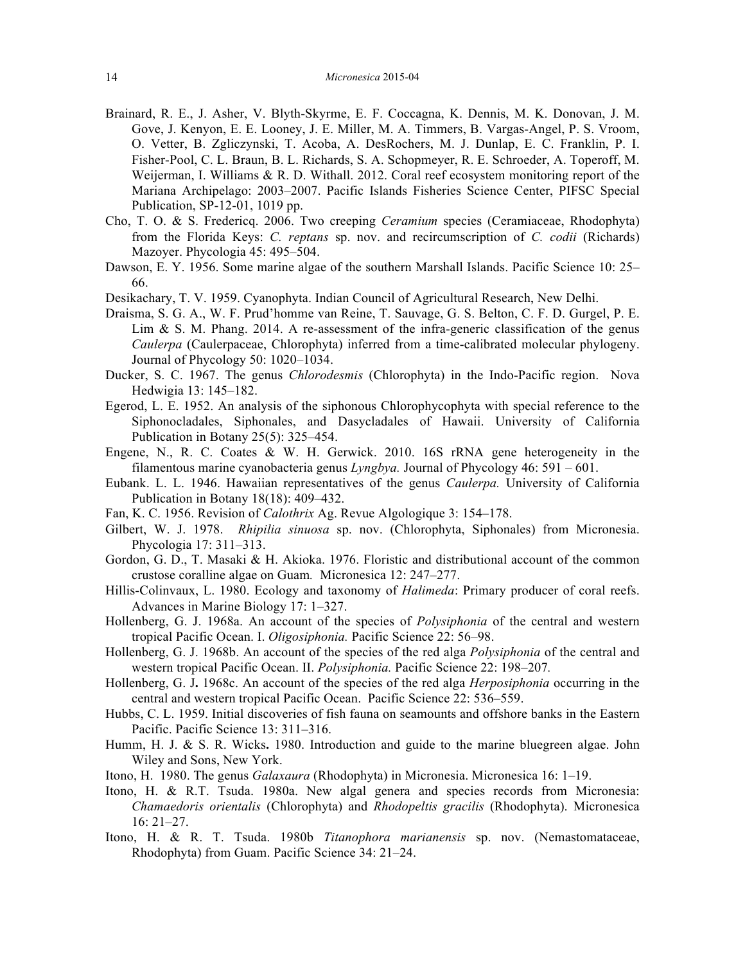- Brainard, R. E., J. Asher, V. Blyth-Skyrme, E. F. Coccagna, K. Dennis, M. K. Donovan, J. M. Gove, J. Kenyon, E. E. Looney, J. E. Miller, M. A. Timmers, B. Vargas-Angel, P. S. Vroom, O. Vetter, B. Zgliczynski, T. Acoba, A. DesRochers, M. J. Dunlap, E. C. Franklin, P. I. Fisher-Pool, C. L. Braun, B. L. Richards, S. A. Schopmeyer, R. E. Schroeder, A. Toperoff, M. Weijerman, I. Williams & R. D. Withall. 2012. Coral reef ecosystem monitoring report of the Mariana Archipelago: 2003–2007. Pacific Islands Fisheries Science Center, PIFSC Special Publication, SP-12-01, 1019 pp.
- Cho, T. O. & S. Fredericq. 2006. Two creeping *Ceramium* species (Ceramiaceae, Rhodophyta) from the Florida Keys: *C. reptans* sp. nov. and recircumscription of *C. codii* (Richards) Mazoyer. Phycologia 45: 495–504.
- Dawson, E. Y. 1956. Some marine algae of the southern Marshall Islands. Pacific Science 10: 25– 66.
- Desikachary, T. V. 1959. Cyanophyta. Indian Council of Agricultural Research, New Delhi.
- Draisma, S. G. A., W. F. Prud'homme van Reine, T. Sauvage, G. S. Belton, C. F. D. Gurgel, P. E. Lim  $\&$  S. M. Phang. 2014. A re-assessment of the infra-generic classification of the genus *Caulerpa* (Caulerpaceae, Chlorophyta) inferred from a time-calibrated molecular phylogeny. Journal of Phycology 50: 1020–1034.
- Ducker, S. C. 1967. The genus *Chlorodesmis* (Chlorophyta) in the Indo-Pacific region. Nova Hedwigia 13: 145-182.
- Egerod, L. E. 1952. An analysis of the siphonous Chlorophycophyta with special reference to the Siphonocladales, Siphonales, and Dasycladales of Hawaii. University of California Publication in Botany  $25(5)$ :  $325-454$ .
- Engene, N., R. C. Coates & W. H. Gerwick. 2010. 16S rRNA gene heterogeneity in the filamentous marine cyanobacteria genus  $Lyngbya$ . Journal of Phycology 46: 591 – 601.
- Eubank. L. L. 1946. Hawaiian representatives of the genus *Caulerpa.* University of California Publication in Botany 18(18): 409–432.
- Fan, K. C. 1956. Revision of *Calothrix Ag. Revue Algologique 3:* 154–178.
- Gilbert, W. J. 1978. *Rhipilia sinuosa* sp. nov. (Chlorophyta, Siphonales) from Micronesia. Phycologia 17: 311-313.
- Gordon, G. D., T. Masaki & H. Akioka. 1976. Floristic and distributional account of the common crustose coralline algae on Guam. Micronesica 12: 247–277.
- Hillis-Colinvaux, L. 1980. Ecology and taxonomy of *Halimeda*: Primary producer of coral reefs. Advances in Marine Biology 17: 1‒327.
- Hollenberg, G. J. 1968a. An account of the species of *Polysiphonia* of the central and western tropical Pacific Ocean. I. *Oligosiphonia*. Pacific Science 22: 56-98.
- Hollenberg, G. J. 1968b. An account of the species of the red alga *Polysiphonia* of the central and western tropical Pacific Ocean. II. *Polysiphonia*. Pacific Science 22: 198-207.
- Hollenberg, G. J**.** 1968c. An account of the species of the red alga *Herposiphonia* occurring in the central and western tropical Pacific Ocean. Pacific Science 22: 536–559.
- Hubbs, C. L. 1959. Initial discoveries of fish fauna on seamounts and offshore banks in the Eastern Pacific. Pacific Science 13: 311-316.
- Humm, H. J. & S. R. Wicks**.** 1980. Introduction and guide to the marine bluegreen algae. John Wiley and Sons, New York.
- Itono, H. 1980. The genus *Galaxaura* (Rhodophyta) in Micronesia. Micronesica 16: 1–19.
- Itono, H. & R.T. Tsuda. 1980a. New algal genera and species records from Micronesia: *Chamaedoris orientalis* (Chlorophyta) and *Rhodopeltis gracilis* (Rhodophyta). Micronesica  $16: 21 - 27.$
- Itono, H. & R. T. Tsuda. 1980b *Titanophora marianensis* sp. nov. (Nemastomataceae, Rhodophyta) from Guam. Pacific Science 34: 21–24.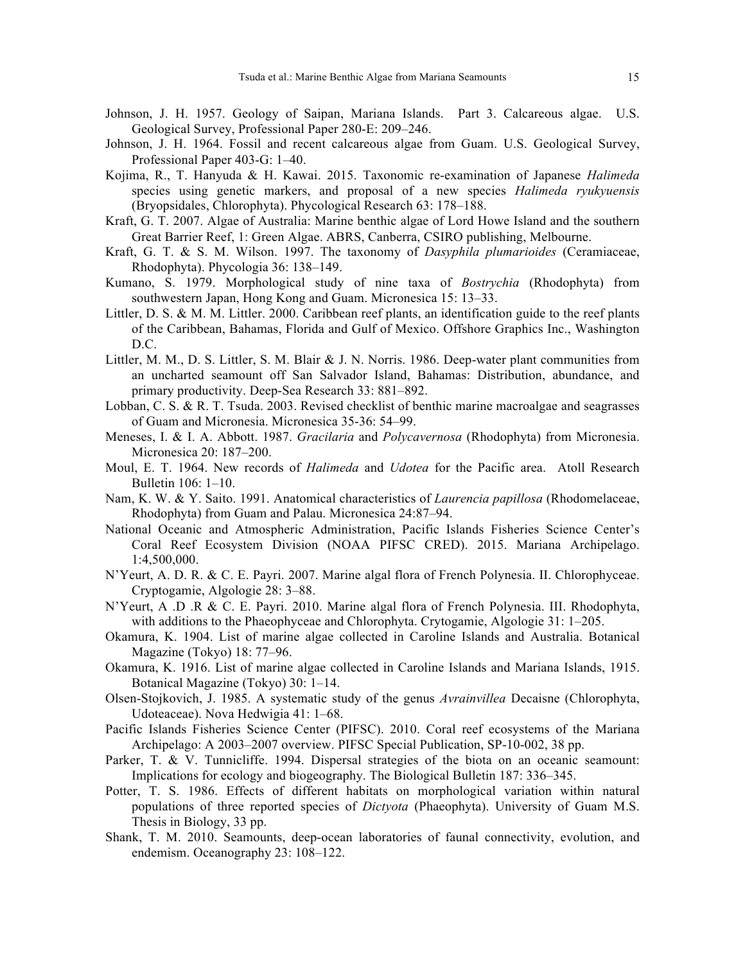- Johnson, J. H. 1957. Geology of Saipan, Mariana Islands. Part 3. Calcareous algae. U.S. Geological Survey, Professional Paper 280-E: 209–246.
- Johnson, J. H. 1964. Fossil and recent calcareous algae from Guam. U.S. Geological Survey, Professional Paper 403-G: 1-40.
- Kojima, R., T. Hanyuda & H. Kawai. 2015. Taxonomic re-examination of Japanese *Halimeda*  species using genetic markers, and proposal of a new species *Halimeda ryukyuensis* (Bryopsidales, Chlorophyta). Phycological Research 63: 178–188.
- Kraft, G. T. 2007. Algae of Australia: Marine benthic algae of Lord Howe Island and the southern Great Barrier Reef, 1: Green Algae. ABRS, Canberra, CSIRO publishing, Melbourne.
- Kraft, G. T. & S. M. Wilson. 1997. The taxonomy of *Dasyphila plumarioides* (Ceramiaceae, Rhodophyta). Phycologia 36: 138-149.
- Kumano, S. 1979. Morphological study of nine taxa of *Bostrychia* (Rhodophyta) from southwestern Japan, Hong Kong and Guam. Micronesica 15: 13–33.
- Littler, D. S. & M. M. Littler. 2000. Caribbean reef plants, an identification guide to the reef plants of the Caribbean, Bahamas, Florida and Gulf of Mexico. Offshore Graphics Inc., Washington  $D C$
- Littler, M. M., D. S. Littler, S. M. Blair & J. N. Norris. 1986. Deep-water plant communities from an uncharted seamount off San Salvador Island, Bahamas: Distribution, abundance, and primary productivity. Deep-Sea Research 33: 881–892.
- Lobban, C. S. & R. T. Tsuda. 2003. Revised checklist of benthic marine macroalgae and seagrasses of Guam and Micronesia. Micronesica 35-36: 54–99.
- Meneses, I. & I. A. Abbott. 1987. *Gracilaria* and *Polycavernosa* (Rhodophyta) from Micronesia. Micronesica 20: 187-200.
- Moul, E. T. 1964. New records of *Halimeda* and *Udotea* for the Pacific area. Atoll Research Bulletin 106: 1-10.
- Nam, K. W. & Y. Saito. 1991. Anatomical characteristics of *Laurencia papillosa* (Rhodomelaceae, Rhodophyta) from Guam and Palau. Micronesica 24:87–94.
- National Oceanic and Atmospheric Administration, Pacific Islands Fisheries Science Center's Coral Reef Ecosystem Division (NOAA PIFSC CRED). 2015. Mariana Archipelago. 1:4,500,000.
- N'Yeurt, A. D. R. & C. E. Payri. 2007. Marine algal flora of French Polynesia. II. Chlorophyceae. Cryptogamie, Algologie 28: 3‒88.
- N'Yeurt, A .D .R & C. E. Payri. 2010. Marine algal flora of French Polynesia. III. Rhodophyta, with additions to the Phaeophyceae and Chlorophyta. Crytogamie, Algologie 31: 1–205.
- Okamura, K. 1904. List of marine algae collected in Caroline Islands and Australia. Botanical Magazine (Tokyo) 18: 77–96.
- Okamura, K. 1916. List of marine algae collected in Caroline Islands and Mariana Islands, 1915. Botanical Magazine (Tokyo) 30: 1-14.
- Olsen-Stojkovich, J. 1985. A systematic study of the genus *Avrainvillea* Decaisne (Chlorophyta, Udoteaceae). Nova Hedwigia 41: 1–68.
- Pacific Islands Fisheries Science Center (PIFSC). 2010. Coral reef ecosystems of the Mariana Archipelago: A 2003–2007 overview. PIFSC Special Publication, SP-10-002, 38 pp.
- Parker, T. & V. Tunnicliffe. 1994. Dispersal strategies of the biota on an oceanic seamount: Implications for ecology and biogeography. The Biological Bulletin 187: 336–345.
- Potter, T. S. 1986. Effects of different habitats on morphological variation within natural populations of three reported species of *Dictyota* (Phaeophyta). University of Guam M.S. Thesis in Biology, 33 pp.
- Shank, T. M. 2010. Seamounts, deep-ocean laboratories of faunal connectivity, evolution, and endemism. Oceanography 23: 108-122.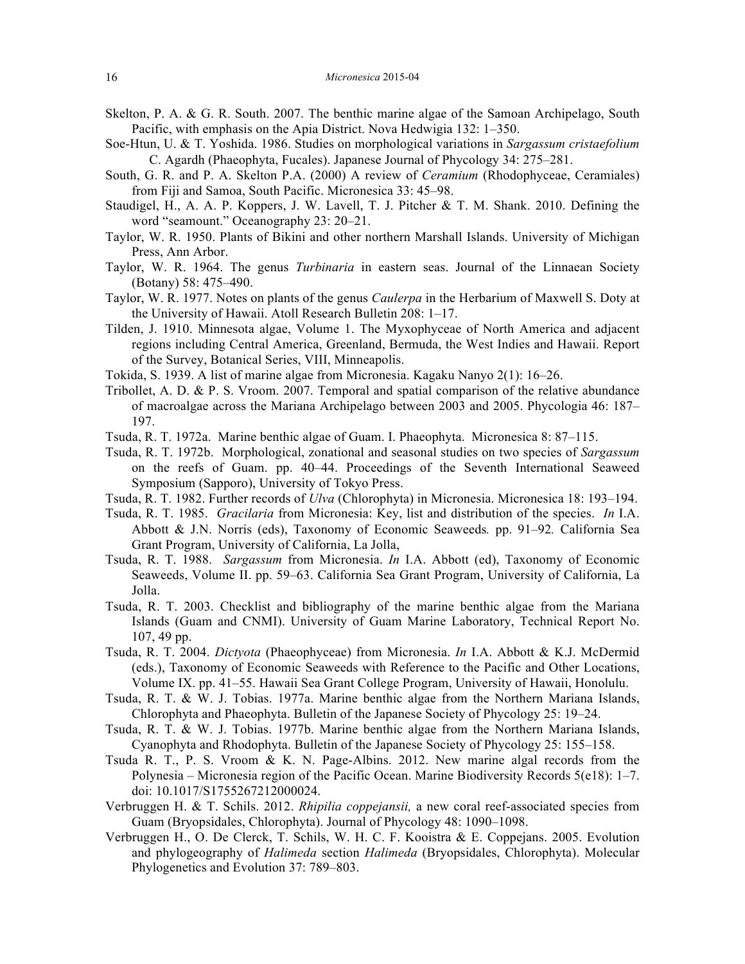- Skelton, P. A. & G. R. South. 2007. The benthic marine algae of the Samoan Archipelago, South Pacific, with emphasis on the Apia District. Nova Hedwigia 132: 1–350.
- Soe-Htun, U. & T. Yoshida. 1986. Studies on morphological variations in *Sargassum cristaefolium*  C. Agardh (Phaeophyta, Fucales). Japanese Journal of Phycology 34: 275–281.
- South, G. R. and P. A. Skelton P.A. (2000) A review of *Ceramium* (Rhodophyceae, Ceramiales) from Fiji and Samoa, South Pacific. Micronesica 33: 45–98.
- Staudigel, H., A. A. P. Koppers, J. W. Lavell, T. J. Pitcher & T. M. Shank. 2010. Defining the word "seamount." Oceanography 23: 20–21.
- Taylor, W. R. 1950. Plants of Bikini and other northern Marshall Islands. University of Michigan Press, Ann Arbor.
- Taylor, W. R. 1964. The genus *Turbinaria* in eastern seas. Journal of the Linnaean Society (Botany) 58: 475‒490.
- Taylor, W. R. 1977. Notes on plants of the genus *Caulerpa* in the Herbarium of Maxwell S. Doty at the University of Hawaii. Atoll Research Bulletin 208: 1-17.
- Tilden, J. 1910. Minnesota algae, Volume 1. The Myxophyceae of North America and adjacent regions including Central America, Greenland, Bermuda, the West Indies and Hawaii. Report of the Survey, Botanical Series, VIII, Minneapolis.
- Tokida, S. 1939. A list of marine algae from Micronesia. Kagaku Nanyo 2(1): 16–26.
- Tribollet, A. D. & P. S. Vroom. 2007. Temporal and spatial comparison of the relative abundance of macroalgae across the Mariana Archipelago between 2003 and 2005. Phycologia 46: 187– 197.
- Tsuda, R. T. 1972a. Marine benthic algae of Guam. I. Phaeophyta. Micronesica 8: 87–115.
- Tsuda, R. T. 1972b. Morphological, zonational and seasonal studies on two species of *Sargassum*  on the reefs of Guam. pp. 40‒44. Proceedings of the Seventh International Seaweed Symposium (Sapporo), University of Tokyo Press.
- Tsuda, R. T. 1982. Further records of *Ulva* (Chlorophyta) in Micronesia. Micronesica 18: 193–194.
- Tsuda, R. T. 1985. *Gracilaria* from Micronesia: Key, list and distribution of the species. *In* I.A. Abbott & J.N. Norris (eds), Taxonomy of Economic Seaweeds. pp. 91–92. California Sea Grant Program, University of California, La Jolla,
- Tsuda, R. T. 1988. *Sargassum* from Micronesia. *In* I.A. Abbott (ed), Taxonomy of Economic Seaweeds, Volume II. pp. 59‒63. California Sea Grant Program, University of California, La Jolla.
- Tsuda, R. T. 2003. Checklist and bibliography of the marine benthic algae from the Mariana Islands (Guam and CNMI). University of Guam Marine Laboratory, Technical Report No. 107, 49 pp.
- Tsuda, R. T. 2004. *Dictyota* (Phaeophyceae) from Micronesia. *In* I.A. Abbott & K.J. McDermid (eds.), Taxonomy of Economic Seaweeds with Reference to the Pacific and Other Locations, Volume IX. pp. 41–55. Hawaii Sea Grant College Program, University of Hawaii, Honolulu.
- Tsuda, R. T. & W. J. Tobias. 1977a. Marine benthic algae from the Northern Mariana Islands, Chlorophyta and Phaeophyta. Bulletin of the Japanese Society of Phycology 25: 19–24.
- Tsuda, R. T. & W. J. Tobias. 1977b. Marine benthic algae from the Northern Mariana Islands, Cyanophyta and Rhodophyta. Bulletin of the Japanese Society of Phycology 25: 155–158.
- Tsuda R. T., P. S. Vroom & K. N. Page-Albins. 2012. New marine algal records from the Polynesia – Micronesia region of the Pacific Ocean. Marine Biodiversity Records  $5(18)$ : 1–7. doi: 10.1017/S1755267212000024.
- Verbruggen H. & T. Schils. 2012. *Rhipilia coppejansii,* a new coral reef-associated species from Guam (Bryopsidales, Chlorophyta). Journal of Phycology 48: 1090–1098.
- Verbruggen H., O. De Clerck, T. Schils, W. H. C. F. Kooistra & E. Coppejans. 2005. Evolution and phylogeography of *Halimeda* section *Halimeda* (Bryopsidales, Chlorophyta). Molecular Phylogenetics and Evolution 37: 789–803.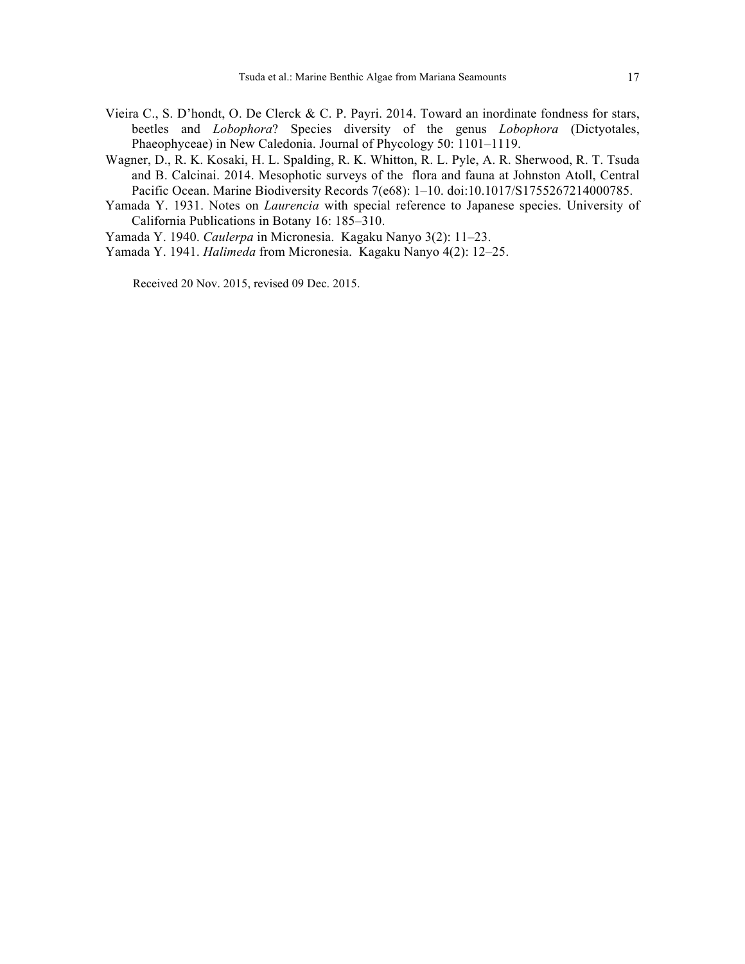- Vieira C., S. D'hondt, O. De Clerck & C. P. Payri. 2014. Toward an inordinate fondness for stars, beetles and *Lobophora*? Species diversity of the genus *Lobophora* (Dictyotales, Phaeophyceae) in New Caledonia. Journal of Phycology 50: 1101-1119.
- Wagner, D., R. K. Kosaki, H. L. Spalding, R. K. Whitton, R. L. Pyle, A. R. Sherwood, R. T. Tsuda and B. Calcinai. 2014. Mesophotic surveys of the flora and fauna at Johnston Atoll, Central Pacific Ocean. Marine Biodiversity Records 7(e68): 1-10. doi:10.1017/S1755267214000785.
- Yamada Y. 1931. Notes on *Laurencia* with special reference to Japanese species. University of California Publications in Botany 16: 185-310.
- Yamada Y. 1940. *Caulerpa* in Micronesia. Kagaku Nanyo 3(2): 11‒23.
- Yamada Y. 1941. *Halimeda* from Micronesia. Kagaku Nanyo 4(2): 12-25.

Received 20 Nov. 2015, revised 09 Dec. 2015.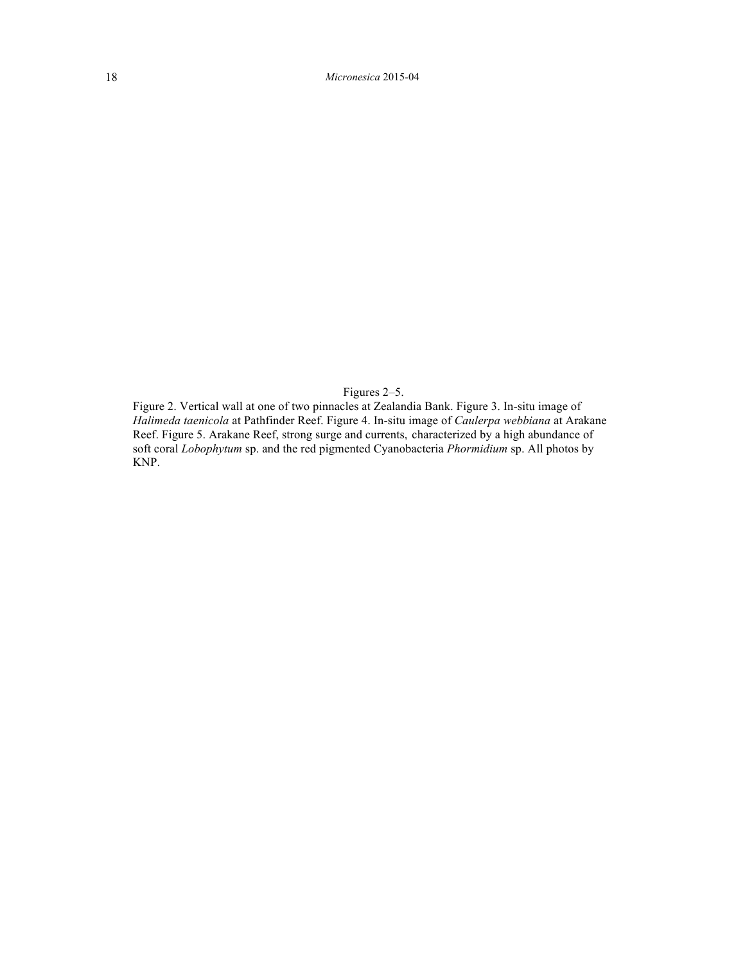Figures 2–5.

Figure 2. Vertical wall at one of two pinnacles at Zealandia Bank. Figure 3. In-situ image of *Halimeda taenicola* at Pathfinder Reef. Figure 4. In-situ image of *Caulerpa webbiana* at Arakane Reef. Figure 5. Arakane Reef, strong surge and currents, characterized by a high abundance of soft coral *Lobophytum* sp. and the red pigmented Cyanobacteria *Phormidium* sp. All photos by KNP.